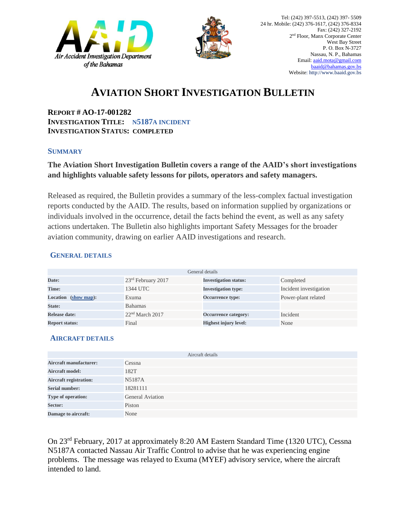



## **AVIATION SHORT INVESTIGATION BULLETIN**

**REPORT # AO-17-001282 INVESTIGATION TITLE: N5187A INCIDENT INVESTIGATION STATUS: COMPLETED** 

#### **SUMMARY**

### **The Aviation Short Investigation Bulletin covers a range of the AAID's short investigations and highlights valuable safety lessons for pilots, operators and safety managers.**

Released as required, the Bulletin provides a summary of the less-complex factual investigation reports conducted by the AAID. The results, based on information supplied by organizations or individuals involved in the occurrence, detail the facts behind the event, as well as any safety actions undertaken. The Bulletin also highlights important Safety Messages for the broader aviation community, drawing on earlier AAID investigations and research.

### **GENERAL DETAILS**

| General details                |                             |                              |                        |
|--------------------------------|-----------------------------|------------------------------|------------------------|
| Date:                          | $23rd$ February 2017        | <b>Investigation status:</b> | Completed              |
| Time:                          | 1344 UTC                    | <b>Investigation type:</b>   | Incident investigation |
| <b>Location</b><br>(show map): | Exuma                       | Occurrence type:             | Power-plant related    |
| State:                         | <b>Bahamas</b>              |                              |                        |
| Release date:                  | 22 <sup>nd</sup> March 2017 | Occurrence category:         | Incident               |
| <b>Report status:</b>          | Final                       | <b>Highest injury level:</b> | None                   |

### **AIRCRAFT DETAILS**

|                               | Aircraft details        |
|-------------------------------|-------------------------|
| <b>Aircraft manufacturer:</b> | Cessna                  |
| <b>Aircraft model:</b>        | 182T                    |
| <b>Aircraft registration:</b> | N5187A                  |
| <b>Serial number:</b>         | 18281111                |
| Type of operation:            | <b>General Aviation</b> |
| Sector:                       | Piston                  |
| Damage to aircraft:           | None                    |

On 23rd February, 2017 at approximately 8:20 AM Eastern Standard Time (1320 UTC), Cessna N5187A contacted Nassau Air Traffic Control to advise that he was experiencing engine problems. The message was relayed to Exuma (MYEF) advisory service, where the aircraft intended to land.